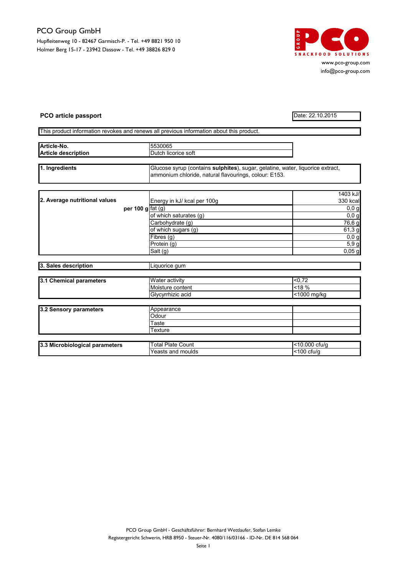## PCO Group GmbH

Hupfleitenweg 10 - 82467 Garmisch-P. - Tel. +49 8821 950 10 Holmer Berg 15-17 - 23942 Dassow - Tel. +49 38826 829 0



www.pco-group.com info@pco-group.com

## PCO article passport Date: 22.10.2015

## This product information revokes and renews all previous information about this product.

| Article-No.<br><b>Article description</b> | 5530065<br>IDutch licorice soft                                                                                                                 |  |
|-------------------------------------------|-------------------------------------------------------------------------------------------------------------------------------------------------|--|
| 1. Ingredients                            | Glucose syrup (contains <b>sulphites</b> ), sugar, gelatine, water, liquorice extract,<br>ammonium chloride, natural flavourings, colour: E153. |  |

| 2. Average nutritional values |                    | Energy in kJ/ kcal per 100g | 1403 kJ/<br>330 kcal |
|-------------------------------|--------------------|-----------------------------|----------------------|
|                               | per 100 g $fat(g)$ |                             | 0,0,0                |
|                               |                    | of which saturates (g)      | 0,0,0                |
|                               |                    | Carbohydrate (g)            | 76,6 g               |
|                               |                    | of which sugars (g)         | 61,3 g               |
|                               |                    | Fibres (g)                  | 0,0,9                |
|                               |                    | Protein (g)                 | 5,9g                 |
|                               |                    | Salt (g)                    | $0,05$ g             |

| 3. Sales description    | Liquorice qum         |             |
|-------------------------|-----------------------|-------------|
|                         |                       |             |
| 3.1 Chemical parameters | <b>Water activity</b> | < 0.72      |
|                         | Moisture content      | $<$ 18 %    |
|                         | Glycvrrhizic acid     | <1000 mg/kg |

| 3.2 Sensory parameters | Appearance |  |
|------------------------|------------|--|
|                        | Odour      |  |
|                        | ⊺aste      |  |
|                        | Гехture    |  |

| .<br>י ה<br><b>Microbiological</b> ر<br>parameters<br>10.V | Plate<br>otal<br>Count  | $-4C$<br>000<br>ctu/c<br>יי |
|------------------------------------------------------------|-------------------------|-----------------------------|
|                                                            | Yeasts<br>moulds<br>and | 100<br>ctu/c                |